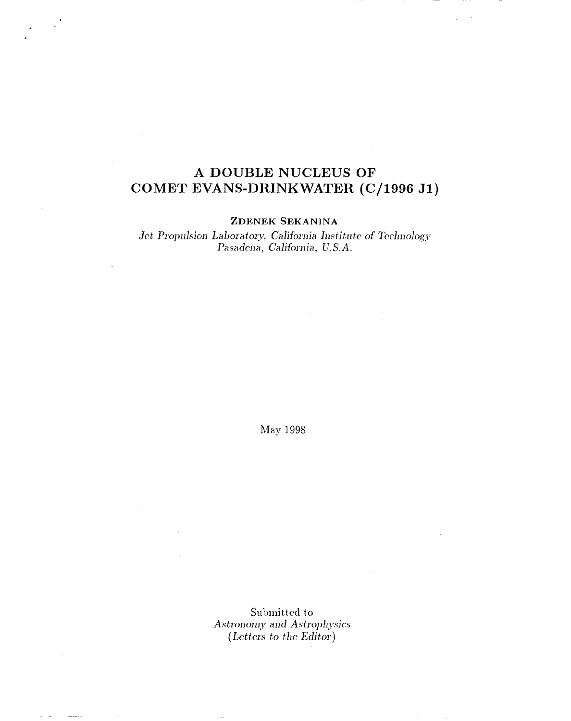## **A DOUBLE NUCLEUS OF COMET EVANS-DRINKWATER (C/1996 Jl)**

. .

### ZDENEK SEKANINA

Jet Propulsion Laboratory, California Institute of Technology  $Pasadena, California, U.S.A.$ 

hlay *1998*

Submitted to  $Astronomy and Astrophysics$ *(LdkrL~ to the Editor)*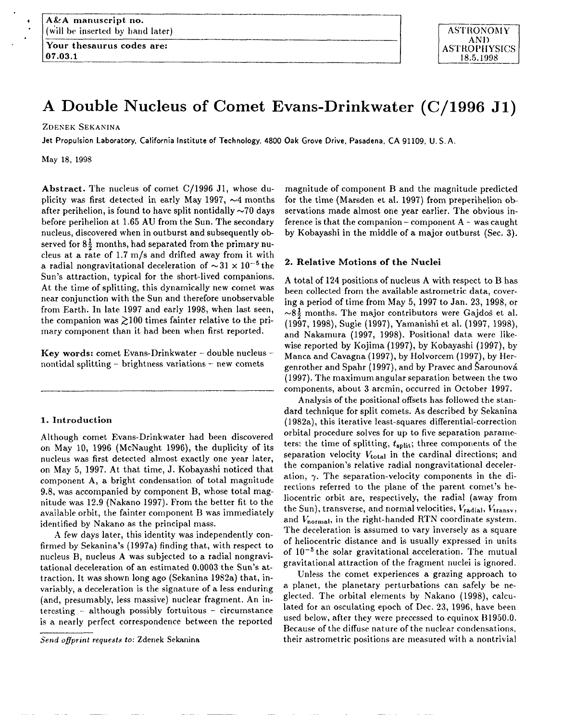Your thesaurus codes are:  $|$  ASTROPHYSICS I07.03.1

**ASTRONOMY** AND 18.5.1998

# **A Double Nucleus of Comet Evans-Drinkwater (C/1996 Jl)**

-———.—— I

**ZDENEK SEKANINA**

Jet Propulsion Laboratory, California Institute of Technology, 4800 Oak Grove Drive, Pasadena, CA 91109, U.S.A.

.——— —

\_—.—\_\_\_\_

May 18, 1998

4 . .

> Abstract. 'The nucleus of comet C/1996 **Jl,** whose duplicity was first detected in early May 1997,  $\sim$ 4 months after perihelion, is found to have split nontidally  $\sim70$  days before perihelion at 1.65 AU from the Sun, The secondary nucleus, discovered when in outburst and subsequently observed for  $8\frac{1}{2}$  months, had separated from the primary nucleus at a rate of 1.7 m/s and drifted away from it with a radial nongravitational deceleration of  $\sim$ 31 x 10<sup>-5</sup> the Sun's attraction, typical for the short-lived companions. At the time of splitting, this dynamically new comet was near conjunction with the Sun and therefore unobservable from Earth. In late 1997 and early 1998, when last seen, the companion was  $\gtrsim 100$  times fainter relative to the primary component than it had been when first reported.

> Key words: comet Evans-Drinkwater -- double nucleus -nontidal splitting  $-$  brightness variations  $-$  new comets

#### 1. **Introduction**

Although comet Evans-Drinkwater had been discovered on May 10, 1996 (McNaught 1996), the duplicity of its nucleus was first detected almost exactly one year later, on May 5, 1997. At that time, J. Kobayashi noticed that component A, a bright condensation of total magnitude 9.8, was accompanied by component B, whose total magnitude was 12.9 (Nakano 1997). From the better fit to the available orbit, the fainter component B was immediately identified by Nakano as the principal mass.

A few days later, this identity was independently confirmed by Sekanina's (1997a) finding that, with respect to nucleus B, nucleus A was subjected to a radial nongravitational deceleration of an estimated 0.0003 the Sun's attraction. It was shown long ago (Sekanina 1982a) that, invariably, a deceleration is the signature of a less enduring (and, presumably, less massive) nuclear fragment. An interesting – although possibly fortuitous – circumstance is a nearly perfect correspondence between the reported

Send oflprint *requests b:* Zdenek Sekanina

magnitude of component B and the magnitude predicted for the time (Marsden et al. 1997) from preperihelion observations made almost one year earlier, The obvious inference is that the companion  $-$  component  $A -$  was caught by Kobayashi in the middle of a major outburst (Sec. 3).

#### 2. **Relative Motions of the Nuclei**

A total of 124 positions of nucleus A with respect to B has been collected from the available astrometric data, covering a period of time from May 5, 1997 to Jan. 23, 1998, or  $\sim$ 8 $\frac{1}{2}$  months. The major contributors were Gajdos et al. (1997, 1998), Sugie (1997), Yamanishi et al. (1997, 1998), and Nakamura (1997, 1998). Positional data were likewise reported by Kojima (1997), by Kobayashi (1997), by Manta and Cavagna (1997), by Holvorcem (1997), by Hergenrother and Spahr  $(1997)$ , and by Pravec and Sarounová (1997). The maximum angular separation between the two components, about 3 arcmin, occurred in October 1997.

Analysis of the positional offsets has followed the standard technique for split comets. As described by Sekanina (1982a), this iterative least-squares differential-correction orbital procedure solves for up to five separation parameters: the time of splitting,  $t_{split}$ ; three components of the separation velocity *Vtotal* in the cardinal directions; and the companion's relative radial nongravitational deceleration,  $\gamma$ . The separation-velocity components in the directions referred to the plane of the parent comet's heliocentric orbit are, respectively, the radial (away from the Sun), transverse, and normal velocities,  $V_{\text{radial}}, V_{\text{transv}},$ and  $V_{\text{normal}}$ , in the right-handed RTN coordinate system. The deceleration is assumed to vary inversely as a square of heliocentric distance and is usually expressed in units of 10–5 the solar gravitational acceleration. The mutual gravitational attraction of the fragment nuclei is ignored.

Unless the comet experiences a grazing approach to a planet, the planetary perturbations can safely be neglected. The orbital elements by Nakano (1998), calculated for an osculating epoch of Dec. 23, 1996, have been used below, after they were precessed to equinox B1950.0. Because of the diffuse nature of the nuclear condensations, their astrometric positions are measured with a nontrivial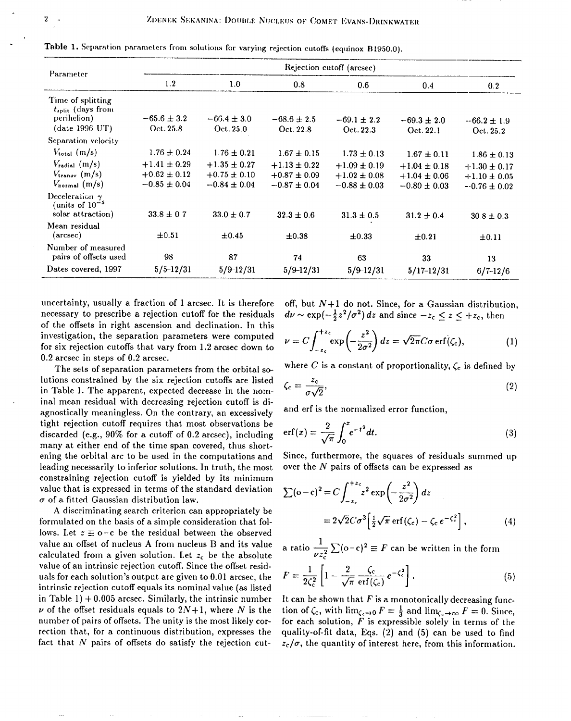| Parameter                                                                           | Rejection cutoff (arcsec)                                |                                                          |                                                          |                                                          |                                                          |                                                          |  |
|-------------------------------------------------------------------------------------|----------------------------------------------------------|----------------------------------------------------------|----------------------------------------------------------|----------------------------------------------------------|----------------------------------------------------------|----------------------------------------------------------|--|
|                                                                                     | 1.2                                                      | 1.0                                                      | 0.8                                                      | 0.6                                                      | 0.4                                                      | 0.2                                                      |  |
| Time of splitting<br>$t_{\text{split}}$ (days from<br>perihelion)<br>(date 1996 UT) | $-65.6 \pm 3.2$<br>Oct. 25.8                             | $-66.4 \pm 3.0$<br>Oct. 25.0                             | $-68.6 \pm 2.5$<br>Oct. 22.8                             | $-69.1 \pm 2.2$<br>Oct. 22.3                             | $-69.3 \pm 2.0$<br>Oct. 22.1                             | $-66.2 \pm 1.9$<br>Oct. 25.2                             |  |
| Separation velocity                                                                 |                                                          |                                                          |                                                          |                                                          |                                                          |                                                          |  |
| $V_{\text{total}}$ (m/s)                                                            | $1.76 \pm 0.24$                                          | $1.76 \pm 0.21$                                          | $1.67 \pm 0.15$                                          | $1.73 \pm 0.13$                                          | $1.67 \pm 0.11$                                          | $1.86 \pm 0.13$                                          |  |
| $V_{radial}$ (m/s)<br>$V_{\text{transv}}$ (m/s)<br>$V_{\text{normal}}(m/s)$         | $+1.41 \pm 0.29$<br>$+0.62 \pm 0.12$<br>$-0.85 \pm 0.04$ | $+1.35 \pm 0.27$<br>$+0.75 \pm 0.10$<br>$-0.84 \pm 0.04$ | $+1.13 \pm 0.22$<br>$+0.87 \pm 0.09$<br>$-0.87 \pm 0.04$ | $+1.09 \pm 0.19$<br>$+1.02 \pm 0.08$<br>$-0.88 \pm 0.03$ | $+1.04 \pm 0.18$<br>$+1.04 \pm 0.06$<br>$-0.80 \pm 0.03$ | $+1.30 \pm 0.17$<br>$+1.10 \pm 0.05$<br>$-0.76 \pm 0.02$ |  |
| Deceleration $\gamma$<br>(units of $10^{-5}$<br>solar attraction)                   | $33.8 \pm 0.7$                                           | $33.0 \pm 0.7$                                           | $32.3 \pm 0.6$                                           | $31.3 \pm 0.5$                                           | $31.2 \pm 0.4$                                           | $30.8 \pm 0.3$                                           |  |
| Mean residual<br>$(\text{arcsec})$                                                  | ±0.51                                                    | $\pm 0.45$                                               | $\pm 0.38$                                               | $\pm 0.33$                                               | $\pm 0.21$                                               | $\pm 0.11$                                               |  |
| Number of measured<br>pairs of offsets used                                         | 98                                                       | 87                                                       | 74                                                       | 63                                                       | 33                                                       | 13                                                       |  |
| Dates covered, 1997                                                                 | $5/5 - 12/31$                                            | $5/9 - 12/31$                                            | $5/9 - 12/31$                                            | $5/9 - 12/31$                                            | $5/17 - 12/31$                                           | $6/7 - 12/6$                                             |  |

Table 1. Separation parameters from solutions for varying rejection cutoffs (equinox B1950.0).

uncertainty, usually a fraction of 1 arcsec. It is therefore necessary to prescribe a rejection cutoff for the residuals of the offsets in right ascension and declination. In this investigation, the separation parameters were computed for six rejection cutoffs that vary from 1.2 arcsec down to  $0.2$  arcsec in steps of  $0.2$  arcsec.

The sets of separation parameters from the orbital solutions constrained by the six rejection cutoffs are listed in Table 1. The apparent, expected decrease in the nominal mean residual with decreasing rejection cutoff is diagnostically meaningless. On the contrary, an excessively tight rejection cutoff requires that most observations be discarded (e.g.,  $90\%$  for a cutoff of 0.2 arcsec), including many at either end of the time span covered, thus shortening the orbital arc to be used in the computations and leading necessarily to inferior solutions. In truth, the most constraining rejection cutoff is yielded by its minimum value that is expressed in terms of the standard deviation  $\sigma$  of a fitted Gaussian distribution law.

A discriminating search criterion can appropriately be formulated on the basis of a simple consideration that follows. Let  $z \equiv o-c$  be the residual between the observed value an offset of nucleus A from nucleus B and its value calculated from a given solution. Let  $z_c$  be the absolute value of an intrinsic rejection cutoff. Since the offset residuals for each solution's output are given to 0.01 arcsec, the intrinsic rejection cutoff equals its nominal value (as listed in Table 1)  $+$  0.005 arcsec. Similarly, the intrinsic number  $\nu$  of the offset residuals equals to  $2N+1$ , where N is the number of pairs of offsets. The unity is the most likely correction that, for a continuous distribution, expresses the fact that N pairs of offsets do satisfy the rejection cutoff, but  $N+1$  do not. Since, for a Gaussian distribution,  $d\nu \sim \exp(-\frac{1}{2}z^2/\sigma^2) dz$  and since  $-z_c \le z \le +z_c$ , then

$$
\nu = C \int_{-z_c}^{+z_c} \exp\left(-\frac{z^2}{2\sigma^2}\right) dz = \sqrt{2\pi} C \sigma \operatorname{erf}(\zeta_c),\tag{1}
$$

where C is a constant of proportionality,  $\zeta_c$  is defined by

$$
\zeta_{\rm c} = \frac{z_{\rm c}}{\sigma \sqrt{2}},\tag{2}
$$

and erf is the normalized error function,

$$
\operatorname{erf}(x) = \frac{2}{\sqrt{\pi}} \int_0^x e^{-t^2} dt. \tag{3}
$$

Since, furthermore, the squares of residuals summed up over the  $N$  pairs of offsets can be expressed as

$$
\sum (\sigma - c)^2 = C \int_{-z_c}^{+z_c} z^2 \exp\left(-\frac{z^2}{2\sigma^2}\right) dz
$$
  
=  $2\sqrt{2}C\sigma^3 \left[\frac{1}{2}\sqrt{\pi} \operatorname{erf}(\zeta_c) - \zeta_c e^{-\zeta_c^2}\right],$  (4)

a ratio  $\frac{1}{\nu z^2} \sum (\sigma - c)^2 \equiv F$  can be written in the form

$$
F = \frac{1}{2\zeta_c^2} \left[ 1 - \frac{2}{\sqrt{\pi}} \frac{\zeta_c}{\text{erf}(\zeta_c)} e^{-\zeta_c^2} \right]. \tag{5}
$$

It can be shown that  $F$  is a monotonically decreasing function of  $\zeta_c$ , with  $\lim_{\zeta_c \to 0} F = \frac{1}{3}$  and  $\lim_{\zeta_c \to \infty} F = 0$ . Since, for each solution,  $F$  is expressible solely in terms of the quality-of-fit data, Eqs. (2) and (5) can be used to find  $z_c/\sigma$ , the quantity of interest here, from this information.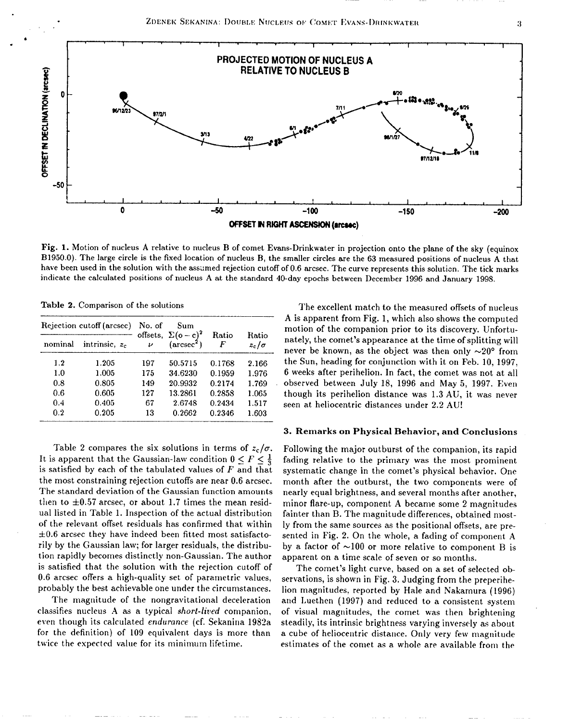



Fig. 1. Motion of nucleus A relative to nucleus B of comet Evans-Drinkwater in projection onto the plane of the sky (equinox B1950.0). The large circle is the fixed location of nucleus B, the smaller circles are the 63 measured positions of nucleus A that have been used in the solution with the assumed rejection cutoff of 0.6 arcsec. The curve represents this solution. The tick marks indicate the calculated positions of nucleus A at the standard 40-day epochs between December 1996 and January 1998.

Table 2. Comparison of the solutions

| Rejection cutoff (arcsec) |                           | No. of             | Sum                                                             |            |                       |
|---------------------------|---------------------------|--------------------|-----------------------------------------------------------------|------------|-----------------------|
| nominal                   | intrinsic, z <sub>c</sub> | $\boldsymbol{\nu}$ | offsets, $\Sigma(\text{o}-\text{c})^2$<br>$(\mathrm{arcsec}^2)$ | Ratio<br>F | Ratio<br>$z_c/\sigma$ |
| 1.2                       | 1.205                     | 197                | 50.5715                                                         | 0.1768     | 2.166                 |
| 1.0                       | 1.005                     | 175                | 34.6230                                                         | 0.1959     | 1.976                 |
| 0.8                       | 0.805                     | 149                | 20.9932                                                         | 0.2174     | 1.769                 |
| 0.6                       | 0.605                     | 127                | 13.2861                                                         | 0.2858     | 1.065                 |
| 0.4                       | 0.405                     | 67                 | 2.6748                                                          | 0.2434     | 1.517                 |
| 0.2                       | 0.205                     | 13                 | 0.2662                                                          | 0.2346     | 1.603                 |

Table 2 compares the six solutions in terms of  $z_c/\sigma$ . It is apparent that the Gaussian-law condition  $0 \leq F \leq \frac{1}{3}$ is satisfied by each of the tabulated values of  $F$  and that the most constraining rejection cutoffs are near 0.6 arcsec. The standard deviation of the Gaussian function amounts then to  $\pm 0.57$  arcsec, or about 1.7 times the mean residual listed in Table 1. Inspection of the actual distribution of the relevant offset residuals has confirmed that within  $\pm 0.6$  arcsec they have indeed been fitted most satisfactorily by the Gaussian law; for larger residuals, the distribution rapidly becomes distinctly non-Gaussian. The author is satisfied that the solution with the rejection cutoff of 0.6 arcsec offers a high-quality set of parametric values, probably the best achievable one under the circumstances.

The magnitude of the nongravitational deceleration classifies nucleus A as a typical *short-lived* companion. even though its calculated endurance (cf. Sekanina 1982a for the definition) of 109 equivalent days is more than twice the expected value for its minimum lifetime.

The excellent match to the measured offsets of nucleus A is apparent from Fig. 1, which also shows the computed motion of the companion prior to its discovery. Unfortunately, the comet's appearance at the time of splitting will never be known, as the object was then only  $\sim 20^{\circ}$  from the Sun, heading for conjunction with it on Feb. 10, 1997. 6 weeks after perihelion. In fact, the comet was not at all observed between July 18, 1996 and May 5, 1997. Even though its perihelion distance was 1.3 AU, it was never seen at heliocentric distances under 2.2 AU!

#### 3. Remarks on Physical Behavior, and Conclusions

Following the major outburst of the companion, its rapid fading relative to the primary was the most prominent systematic change in the comet's physical behavior. One month after the outburst, the two components were of nearly equal brightness, and several months after another. minor flare-up, component A became some 2 magnitudes fainter than B. The magnitude differences, obtained mostly from the same sources as the positional offsets, are presented in Fig. 2. On the whole, a fading of component A by a factor of  $\sim 100$  or more relative to component B is apparent on a time scale of seven or so months.

The comet's light curve, based on a set of selected observations, is shown in Fig. 3. Judging from the preperihelion magnitudes, reported by Hale and Nakamura (1996) and Luethen (1997) and reduced to a consistent system of visual magnitudes, the comet was then brightening steadily, its intrinsic brightness varying inversely as about a cube of heliocentric distance. Only very few magnitude estimates of the comet as a whole are available from the

3